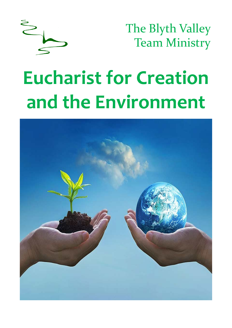

The Blyth Valley Team Ministry

# **Eucharist for Creation and the Environment**

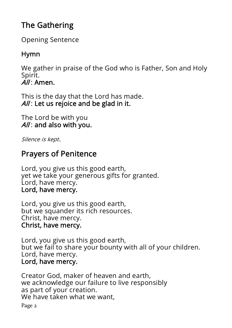# The Gathering

Opening Sentence

### Hymn

We gather in praise of the God who is Father, Son and Holy Spirit.  $\overline{A}$ ll: Amen.

This is the day that the Lord has made.  $A/I$ : Let us rejoice and be glad in it.

The Lord be with you  $A/I$ : and also with you.

Silence is kept.

# Prayers of Penitence

Lord, you give us this good earth, yet we take your generous gifts for granted. Lord, have mercy. Lord, have mercy.

Lord, you give us this good earth, but we squander its rich resources. Christ, have mercy. Christ, have mercy.

Lord, you give us this good earth, but we fail to share your bounty with all of your children. Lord, have mercy. Lord, have mercy.

Creator God, maker of heaven and earth, we acknowledge our failure to live responsibly as part of your creation. We have taken what we want,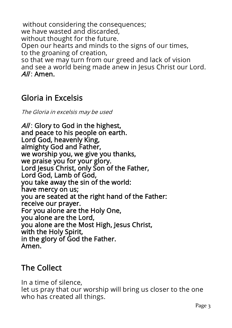without considering the consequences; we have wasted and discarded, without thought for the future. Open our hearts and minds to the signs of our times, to the groaning of creation, so that we may turn from our greed and lack of vision and see a world being made anew in Jesus Christ our Lord.

All: Amen.

# Gloria in Excelsis

The Gloria in excelsis may be used

 $A/I$ : Glory to God in the highest, and peace to his people on earth. Lord God, heavenly King, almighty God and Father, we worship you, we give you thanks, we praise you for your glory. Lord Jesus Christ, only Son of the Father, Lord God, Lamb of God, you take away the sin of the world: have mercy on us; you are seated at the right hand of the Father: receive our prayer. For you alone are the Holy One, you alone are the Lord, you alone are the Most High, Jesus Christ, with the Holy Spirit, in the glory of God the Father. Amen.

# The Collect

In a time of silence,

let us pray that our worship will bring us closer to the one who has created all things.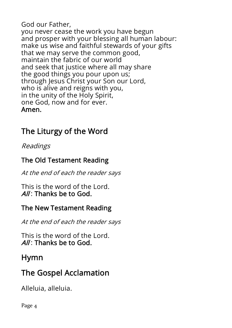God our Father,

you never cease the work you have begun and prosper with your blessing all human labour: make us wise and faithful stewards of your gifts that we may serve the common good, maintain the fabric of our world and seek that justice where all may share the good things you pour upon us; through Jesus Christ your Son our Lord, who is alive and reigns with you, in the unity of the Holy Spirit, one God, now and for ever. Amen.

# The Liturgy of the Word

Readings

#### The Old Testament Reading

At the end of each the reader says

This is the word of the Lord.  $A/I$ : Thanks be to God.

#### The New Testament Reading

At the end of each the reader says

This is the word of the Lord.  $A/I$ : Thanks be to God.

# Hymn

# The Gospel Acclamation

Alleluia, alleluia.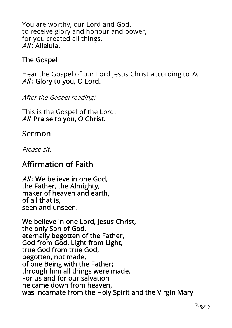You are worthy, our Lord and God, to receive glory and honour and power, for you created all things.  $AU^T$  Alleluia.

#### The Gospel

Hear the Gospel of our Lord Jesus Christ according to N. All: Glory to you, O Lord.

After the Gospel reading:

This is the Gospel of the Lord. All Praise to you, O Christ.

#### Sermon

Please sit.

### Affirmation of Faith

 $A/I$ : We believe in one God. the Father, the Almighty, maker of heaven and earth, of all that is, seen and unseen.

We believe in one Lord, Jesus Christ, the only Son of God, eternally begotten of the Father, God from God, Light from Light, true God from true God, begotten, not made, of one Being with the Father; through him all things were made. For us and for our salvation he came down from heaven, was incarnate from the Holy Spirit and the Virgin Mary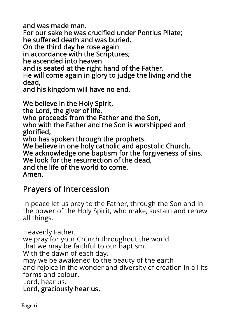and was made man.

For our sake he was crucified under Pontius Pilate; he suffered death and was buried.

On the third day he rose again

in accordance with the Scriptures;

he ascended into heaven

and is seated at the right hand of the Father.

He will come again in glory to judge the living and the dead,

and his kingdom will have no end.

We believe in the Holy Spirit, the Lord, the giver of life, who proceeds from the Father and the Son, who with the Father and the Son is worshipped and glorified, who has spoken through the prophets. We believe in one holy catholic and apostolic Church. We acknowledge one baptism for the forgiveness of sins. We look for the resurrection of the dead, and the life of the world to come. Amen.

### Prayers of Intercession

In peace let us pray to the Father, through the Son and in the power of the Holy Spirit, who make, sustain and renew all things.

Heavenly Father,

we pray for your Church throughout the world that we may be faithful to our baptism.

With the dawn of each day,

may we be awakened to the beauty of the earth and rejoice in the wonder and diversity of creation in all its forms and colour.

Lord, hear us.

Lord, graciously hear us.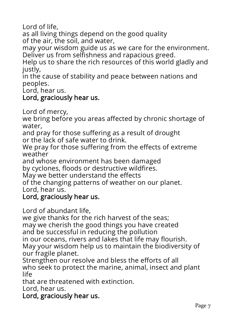Lord of life,

as all living things depend on the good quality of the air, the soil, and water,

may your wisdom guide us as we care for the environment. Deliver us from selfishness and rapacious greed.

Help us to share the rich resources of this world gladly and justly,

in the cause of stability and peace between nations and peoples.

Lord, hear us.

#### Lord, graciously hear us.

Lord of mercy,

we bring before you areas affected by chronic shortage of water,

and pray for those suffering as a result of drought or the lack of safe water to drink.

We pray for those suffering from the effects of extreme weather

and whose environment has been damaged

by cyclones, floods or destructive wildfires.

May we better understand the effects

of the changing patterns of weather on our planet. Lord, hear us.

#### Lord, graciously hear us.

Lord of abundant life,

we give thanks for the rich harvest of the seas;

may we cherish the good things you have created and be successful in reducing the pollution

in our oceans, rivers and lakes that life may flourish.

May your wisdom help us to maintain the biodiversity of our fragile planet.

Strengthen our resolve and bless the efforts of all who seek to protect the marine, animal, insect and plant life

that are threatened with extinction.

Lord, hear us.

#### Lord, graciously hear us.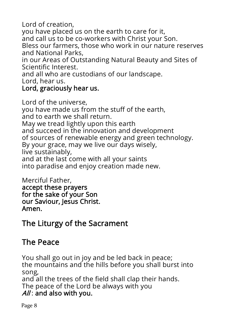Lord of creation,

you have placed us on the earth to care for it,

and call us to be co-workers with Christ your Son.

Bless our farmers, those who work in our nature reserves and National Parks,

in our Areas of Outstanding Natural Beauty and Sites of Scientific Interest.

and all who are custodians of our landscape.

Lord, hear us.

#### Lord, graciously hear us.

Lord of the universe, you have made us from the stuff of the earth, and to earth we shall return. May we tread lightly upon this earth and succeed in the innovation and development of sources of renewable energy and green technology. By your grace, may we live our days wisely, live sustainably, and at the last come with all your saints into paradise and enjoy creation made new.

Merciful Father, accept these prayers for the sake of your Son our Saviour, Jesus Christ. Amen.

# The Liturgy of the Sacrament

# The Peace

You shall go out in joy and be led back in peace; the mountains and the hills before you shall burst into song, and all the trees of the field shall clap their hands. The peace of the Lord be always with you

#### $A/I$ : and also with you.

Page 8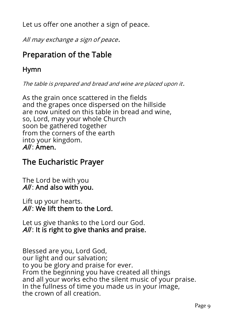Let us offer one another a sign of peace.

All may exchange a sign of peace.

# Preparation of the Table

#### Hymn

The table is prepared and bread and wine are placed upon it.

As the grain once scattered in the fields and the grapes once dispersed on the hillside are now united on this table in bread and wine, so, Lord, may your whole Church soon be gathered together from the corners of the earth into your kingdom.  $A/I$ : Amen.

# The Eucharistic Prayer

The Lord be with you  $A/I$ : And also with you.

Lift up your hearts.  $A/I$ : We lift them to the Lord.

Let us give thanks to the Lord our God.  $A/I$ : It is right to give thanks and praise.

Blessed are you, Lord God, our light and our salvation; to you be glory and praise for ever. From the beginning you have created all things and all your works echo the silent music of your praise. In the fullness of time you made us in your image, the crown of all creation.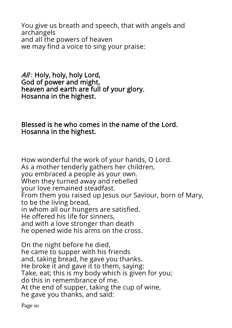You give us breath and speech, that with angels and archangels and all the powers of heaven we may find a voice to sing your praise:

 $A/I$ : Holy, holy, holy Lord, God of power and might, heaven and earth are full of your glory. Hosanna in the highest.

#### Blessed is he who comes in the name of the Lord. Hosanna in the highest.

How wonderful the work of your hands, O Lord. As a mother tenderly gathers her children, you embraced a people as your own. When they turned away and rebelled your love remained steadfast. From them you raised up Jesus our Saviour, born of Mary, to be the living bread, in whom all our hungers are satisfied. He offered his life for sinners, and with a love stronger than death he opened wide his arms on the cross.

On the night before he died, he came to supper with his friends and, taking bread, he gave you thanks. He broke it and gave it to them, saying: Take, eat; this is my body which is given for you; do this in remembrance of me. At the end of supper, taking the cup of wine, he gave you thanks, and said:

Page 10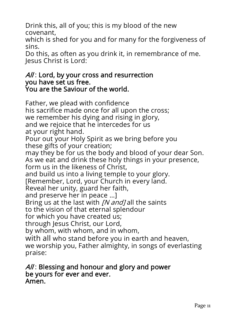Drink this, all of you; this is my blood of the new covenant,

which is shed for you and for many for the forgiveness of sins.

Do this, as often as you drink it, in remembrance of me. Jesus Christ is Lord:

#### $A/I$ : Lord, by your cross and resurrection you have set us free. You are the Saviour of the world.

Father, we plead with confidence his sacrifice made once for all upon the cross; we remember his dying and rising in glory, and we rejoice that he intercedes for us at your right hand. Pour out your Holy Spirit as we bring before you these gifts of your creation; may they be for us the body and blood of your dear Son. As we eat and drink these holy things in your presence, form us in the likeness of Christ, and build us into a living temple to your glory. [Remember, Lord, your Church in every land. Reveal her unity, guard her faith, and preserve her in peace …] Bring us at the last with *[N and]* all the saints to the vision of that eternal splendour for which you have created us; through Jesus Christ, our Lord, by whom, with whom, and in whom, with all who stand before you in earth and heaven, we worship you, Father almighty, in songs of everlasting praise:

#### $A/I$ : Blessing and honour and glory and power be yours for ever and ever. Amen.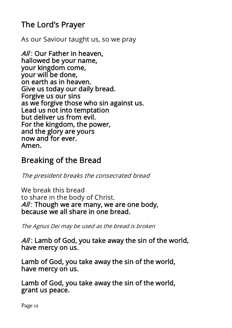# The Lord's Prayer

As our Saviour taught us, so we pray

 $A/I$ : Our Father in heaven. hallowed be your name, your kingdom come, your will be done, on earth as in heaven. Give us today our daily bread. Forgive us our sins as we forgive those who sin against us. Lead us not into temptation but deliver us from evil. For the kingdom, the power, and the glory are yours now and for ever. Amen.

# Breaking of the Bread

The president breaks the consecrated bread

We break this bread to share in the body of Christ.  $A/I$ : Though we are many, we are one body, because we all share in one bread.

The Agnus Dei may be used as the bread is broken

 $A/I$ : Lamb of God, you take away the sin of the world, have mercy on us.

Lamb of God, you take away the sin of the world, have mercy on us.

Lamb of God, you take away the sin of the world, grant us peace.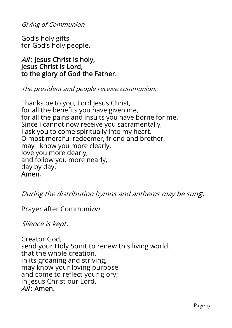Giving of Communion

God's holy gifts for God's holy people.

#### $A/I$ : Jesus Christ is holy, Jesus Christ is Lord, to the glory of God the Father.

The president and people receive communion.

Thanks be to you, Lord Jesus Christ, for all the benefits you have given me, for all the pains and insults you have borne for me. Since I cannot now receive you sacramentally, I ask you to come spiritually into my heart. O most merciful redeemer, friend and brother, may I know you more clearly, love you more dearly, and follow you more nearly, day by day. Amen.

During the distribution hymns and anthems may be sung.

Prayer after Communion

Silence is kept.

Creator God, send your Holy Spirit to renew this living world, that the whole creation, in its groaning and striving, may know your loving purpose and come to reflect your glory; in Jesus Christ our Lord.  $Al$ : Amen.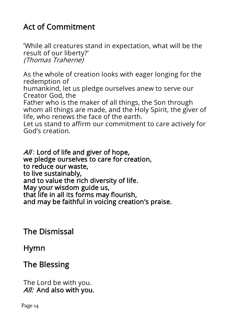# Act of Commitment

'While all creatures stand in expectation, what will be the result of our liberty?' (Thomas Traherne)

As the whole of creation looks with eager longing for the redemption of

humankind, let us pledge ourselves anew to serve our Creator God, the

Father who is the maker of all things, the Son through whom all things are made, and the Holy Spirit, the giver of life, who renews the face of the earth.

Let us stand to affirm our commitment to care actively for God's creation.

 $A/I$ : Lord of life and giver of hope, we pledge ourselves to care for creation, to reduce our waste, to live sustainably, and to value the rich diversity of life. May your wisdom guide us, that life in all its forms may flourish, and may be faithful in voicing creation's praise.

The Dismissal

#### Hymn

### The Blessing

The Lord be with you. All: And also with you.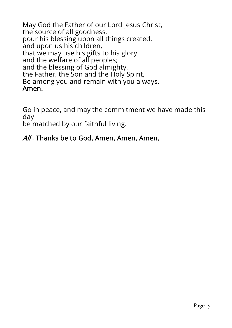May God the Father of our Lord Jesus Christ, the source of all goodness, pour his blessing upon all things created, and upon us his children, that we may use his gifts to his glory and the welfare of all peoples; and the blessing of God almighty, the Father, the Son and the Holy Spirit, Be among you and remain with you always. Amen.

Go in peace, and may the commitment we have made this day

be matched by our faithful living.

#### $A/I$ : Thanks be to God. Amen. Amen. Amen.